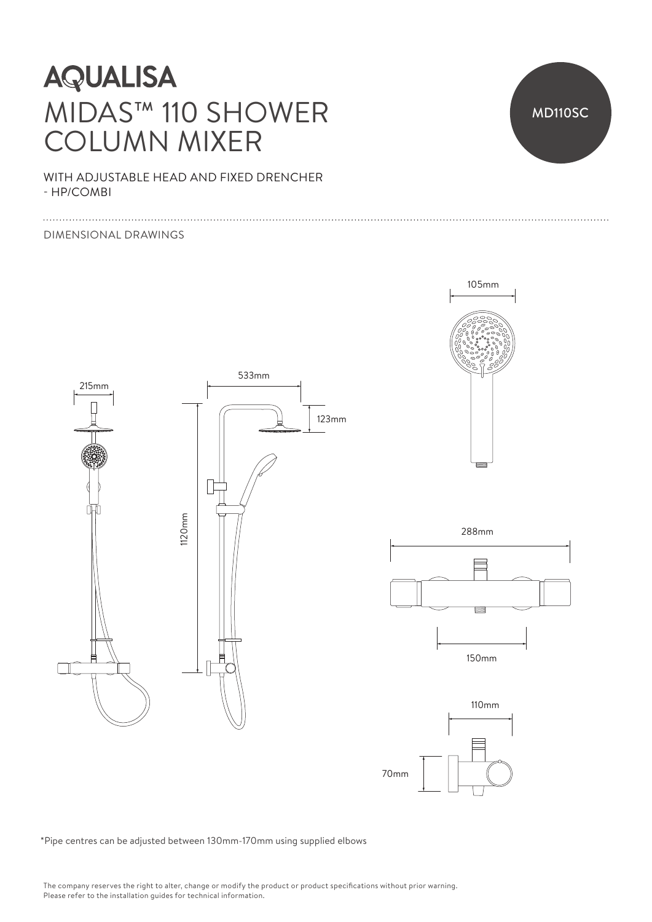# **AQUALISA** MIDAS™ 110 SHOWER COLUMN MIXER

WITH ADJUSTABLE HEAD AND FIXED DRENCHER - HP/COMBI

#### DIMENSIONAL DRAWINGS







150mm 150mm



\*Pipe centres can be adjusted between 130mm-170mm using supplied elbows

MD110SC